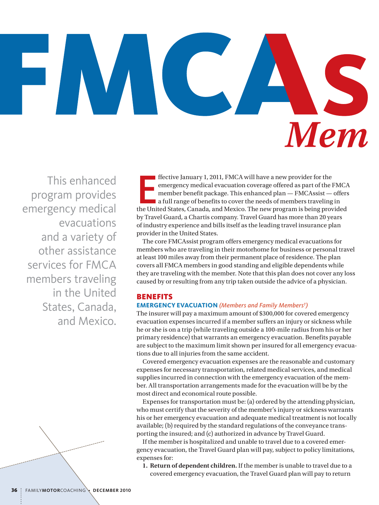

This enhanced program provides emergency medical evacuations and a variety of other assistance services for FMCA members traveling in the United States, Canada, and Mexico.

ffective January 1, 2011, FMCA will have a new provider for the<br>emergency medical evacuation coverage offered as part of the FMCA<br>member benefit package. This enhanced plan — FMCAssist — offers<br>a full range of benefits to ffective January 1, 2011, FMCA will have a new provider for the emergency medical evacuation coverage offered as part of the FMCA member benefit package. This enhanced plan — FMCAssist — offers a full range of benefits to cover the needs of members traveling in by Travel Guard, a Chartis company. Travel Guard has more than 20 years of industry experience and bills itself as the leading travel insurance plan provider in the United States.

The core FMCAssist program offers emergency medical evacuations for members who are traveling in their motorhome for business or personal travel at least 100 miles away from their permanent place of residence. The plan covers all FMCA members in good standing and eligible dependents while they are traveling with the member. Note that this plan does not cover any loss caused by or resulting from any trip taken outside the advice of a physician.

## **BENEFITS**

#### **Emergency Evacuation** *(Members and Family Members† )*

The insurer will pay a maximum amount of \$300,000 for covered emergency evacuation expenses incurred if a member suffers an injury or sickness while he or she is on a trip (while traveling outside a 100-mile radius from his or her primary residence) that warrants an emergency evacuation. Benefits payable are subject to the maximum limit shown per insured for all emergency evacuations due to all injuries from the same accident.

Covered emergency evacuation expenses are the reasonable and customary expenses for necessary transportation, related medical services, and medical supplies incurred in connection with the emergency evacuation of the member. All transportation arrangements made for the evacuation will be by the most direct and economical route possible.

Expenses for transportation must be: (a) ordered by the attending physician, who must certify that the severity of the member's injury or sickness warrants his or her emergency evacuation and adequate medical treatment is not locally available; (b) required by the standard regulations of the conveyance transporting the insured; and (c) authorized in advance by Travel Guard.

If the member is hospitalized and unable to travel due to a covered emergency evacuation, the Travel Guard plan will pay, subject to policy limitations, expenses for:

**Return of dependent children.** If the member is unable to travel due to a **1.** covered emergency evacuation, the Travel Guard plan will pay to return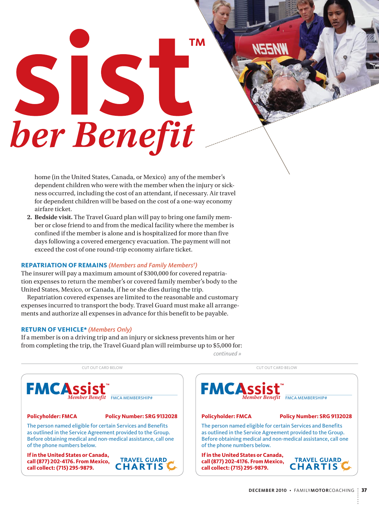# TM SI IS ber Benefit

home (in the United States, Canada, or Mexico) any of the member's dependent children who were with the member when the injury or sickness occurred, including the cost of an attendant, if necessary. Air travel for dependent children will be based on the cost of a one-way economy airfare ticket.

**Bedside visit.** The Travel Guard plan will pay to bring one family mem-**2.** ber or close friend to and from the medical facility where the member is confined if the member is alone and is hospitalized for more than five days following a covered emergency evacuation. The payment will not exceed the cost of one round-trip economy airfare ticket.

#### **Repatriation of Remains** *(Members and Family Members† )*

The insurer will pay a maximum amount of \$300,000 for covered repatriation expenses to return the member's or covered family member's body to the United States, Mexico, or Canada, if he or she dies during the trip.

Repatriation covered expenses are limited to the reasonable and customary expenses incurred to transport the body. Travel Guard must make all arrangements and authorize all expenses in advance for this benefit to be payable.

### **Return of Vehicle\*** *(Members Only)*

If a member is on a driving trip and an injury or sickness prevents him or her from completing the trip, the Travel Guard plan will reimburse up to \$5,000 for:

Cut out card Below Cut out card Below



*continued »*

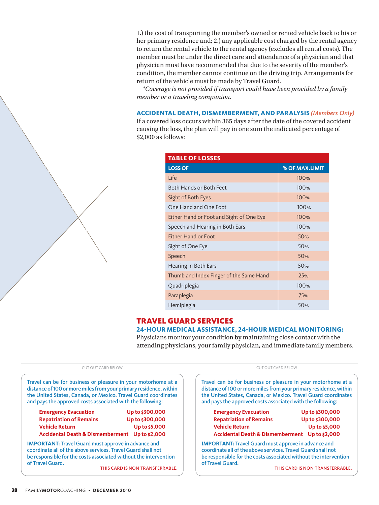1.) the cost of transporting the member's owned or rented vehicle back to his or her primary residence and; 2.) any applicable cost charged by the rental agency to return the rental vehicle to the rental agency (excludes all rental costs). The member must be under the direct care and attendance of a physician and that physician must have recommended that due to the severity of the member's condition, the member cannot continue on the driving trip. Arrangements for return of the vehicle must be made by Travel Guard.

*\*Coverage is not provided if transport could have been provided by a family member or a traveling companion.*

#### **Accidental Death, Dismemberment, and Paralysis** *(Members Only)*

If a covered loss occurs within 365 days after the date of the covered accident causing the loss, the plan will pay in one sum the indicated percentage of \$2,000 as follows:

| <b>TABLE OF LOSSES</b>                   |                |  |
|------------------------------------------|----------------|--|
| <b>LOSS OF</b>                           | % OF MAX.LIMIT |  |
| Life                                     | 100%           |  |
| Both Hands or Both Feet                  | 100%           |  |
| Sight of Both Eyes                       | 100%           |  |
| One Hand and One Foot                    | 100%           |  |
| Either Hand or Foot and Sight of One Eye | 100%           |  |
| Speech and Hearing in Both Ears          | 100%           |  |
| Either Hand or Foot                      | 50%            |  |
| Sight of One Eye                         | 50%            |  |
| Speech                                   | 50%            |  |
| Hearing in Both Ears                     | 50%            |  |
| Thumb and Index Finger of the Same Hand  | 25%            |  |
| Quadriplegia                             | 100%           |  |
| Paraplegia                               | 75%            |  |
| Hemiplegia                               | 50%            |  |

## Travel Guard Services

#### **24-hour medical assistance, 24-hour medical monitoring:**

Physicians monitor your condition by maintaining close contact with the attending physicians, your family physician, and immediate family members.

#### Cut out card Below Cut out card Below

Travel can be for business or pleasure in your motorhome at a distance of 100 or more miles from your primary residence, within the United States, Canada, or Mexico. Travel Guard coordinates and pays the approved costs associated with the following:

| <b>Emergency Evacuation</b>                    | Up to \$300,000 |
|------------------------------------------------|-----------------|
| <b>Repatriation of Remains</b>                 | Up to \$300,000 |
| <b>Vehicle Return</b>                          | Up to \$5,000   |
| Accidental Death & Dismemberment Up to \$2,000 |                 |

**Important:** Travel Guard must approve in advance and coordinate all of the above services. Travel Guard shall not be responsible for the costs associated without the intervention of Travel Guard.

This card is Non-Transferrable.

Travel can be for business or pleasure in your motorhome at a distance of 100 or more miles from your primary residence, within the United States, Canada, or Mexico. Travel Guard coordinates and pays the approved costs associated with the following:

| <b>Emergency Evacuation</b>                    | Up to \$300,000 |
|------------------------------------------------|-----------------|
| <b>Repatriation of Remains</b>                 | Up to \$300,000 |
| <b>Vehicle Return</b>                          | Up to \$5,000   |
| Accidental Death & Dismemberment Up to \$2,000 |                 |

**IMPORTANT: Travel Guard must approve in advance and** coordinate all of the above services. Travel Guard shall not be responsible for the costs associated without the intervention of Travel Guard.

This card is Non-Transferrable.